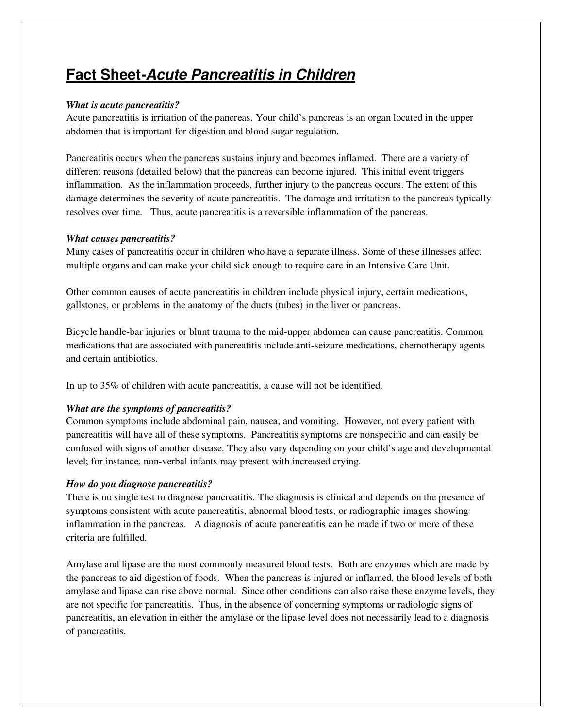# **Fact Sheet-Acute Pancreatitis in Children**

# *What is acute pancreatitis?*

Acute pancreatitis is irritation of the pancreas. Your child's pancreas is an organ located in the upper abdomen that is important for digestion and blood sugar regulation.

Pancreatitis occurs when the pancreas sustains injury and becomes inflamed. There are a variety of different reasons (detailed below) that the pancreas can become injured. This initial event triggers inflammation. As the inflammation proceeds, further injury to the pancreas occurs. The extent of this damage determines the severity of acute pancreatitis. The damage and irritation to the pancreas typically resolves over time. Thus, acute pancreatitis is a reversible inflammation of the pancreas.

# *What causes pancreatitis?*

Many cases of pancreatitis occur in children who have a separate illness. Some of these illnesses affect multiple organs and can make your child sick enough to require care in an Intensive Care Unit.

Other common causes of acute pancreatitis in children include physical injury, certain medications, gallstones, or problems in the anatomy of the ducts (tubes) in the liver or pancreas.

Bicycle handle-bar injuries or blunt trauma to the mid-upper abdomen can cause pancreatitis. Common medications that are associated with pancreatitis include anti-seizure medications, chemotherapy agents and certain antibiotics.

In up to 35% of children with acute pancreatitis, a cause will not be identified.

# *What are the symptoms of pancreatitis?*

Common symptoms include abdominal pain, nausea, and vomiting. However, not every patient with pancreatitis will have all of these symptoms. Pancreatitis symptoms are nonspecific and can easily be confused with signs of another disease. They also vary depending on your child's age and developmental level; for instance, non-verbal infants may present with increased crying.

# *How do you diagnose pancreatitis?*

There is no single test to diagnose pancreatitis. The diagnosis is clinical and depends on the presence of symptoms consistent with acute pancreatitis, abnormal blood tests, or radiographic images showing inflammation in the pancreas. A diagnosis of acute pancreatitis can be made if two or more of these criteria are fulfilled.

Amylase and lipase are the most commonly measured blood tests. Both are enzymes which are made by the pancreas to aid digestion of foods. When the pancreas is injured or inflamed, the blood levels of both amylase and lipase can rise above normal. Since other conditions can also raise these enzyme levels, they are not specific for pancreatitis. Thus, in the absence of concerning symptoms or radiologic signs of pancreatitis, an elevation in either the amylase or the lipase level does not necessarily lead to a diagnosis of pancreatitis.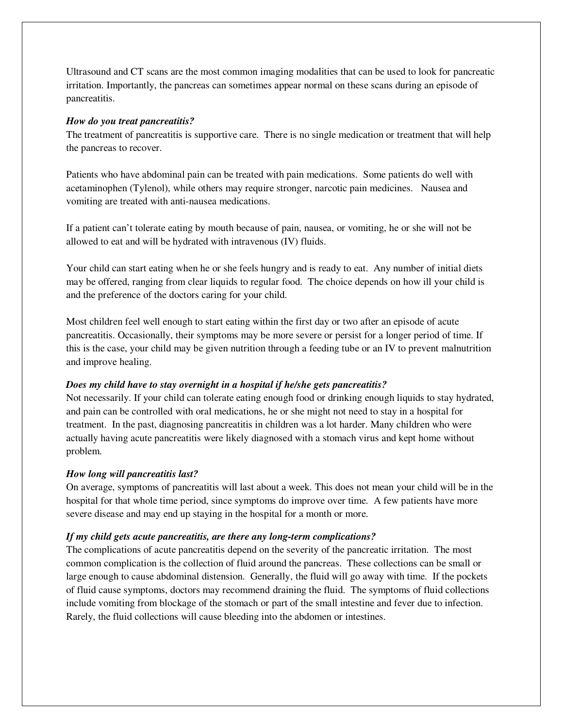Ultrasound and CT scans are the most common imaging modalities that can be used to look for pancreatic irritation. Importantly, the pancreas can sometimes appear normal on these scans during an episode of pancreatitis.

### *How do you treat pancreatitis?*

The treatment of pancreatitis is supportive care. There is no single medication or treatment that will help the pancreas to recover.

Patients who have abdominal pain can be treated with pain medications. Some patients do well with acetaminophen (Tylenol), while others may require stronger, narcotic pain medicines. Nausea and vomiting are treated with anti-nausea medications.

If a patient can't tolerate eating by mouth because of pain, nausea, or vomiting, he or she will not be allowed to eat and will be hydrated with intravenous (IV) fluids.

Your child can start eating when he or she feels hungry and is ready to eat. Any number of initial diets may be offered, ranging from clear liquids to regular food. The choice depends on how ill your child is and the preference of the doctors caring for your child.

Most children feel well enough to start eating within the first day or two after an episode of acute pancreatitis. Occasionally, their symptoms may be more severe or persist for a longer period of time. If this is the case, your child may be given nutrition through a feeding tube or an IV to prevent malnutrition and improve healing.

## *Does my child have to stay overnight in a hospital if he/she gets pancreatitis?*

Not necessarily. If your child can tolerate eating enough food or drinking enough liquids to stay hydrated, and pain can be controlled with oral medications, he or she might not need to stay in a hospital for treatment. In the past, diagnosing pancreatitis in children was a lot harder. Many children who were actually having acute pancreatitis were likely diagnosed with a stomach virus and kept home without problem.

## *How long will pancreatitis last?*

On average, symptoms of pancreatitis will last about a week. This does not mean your child will be in the hospital for that whole time period, since symptoms do improve over time. A few patients have more severe disease and may end up staying in the hospital for a month or more.

## *If my child gets acute pancreatitis, are there any long-term complications?*

The complications of acute pancreatitis depend on the severity of the pancreatic irritation. The most common complication is the collection of fluid around the pancreas. These collections can be small or large enough to cause abdominal distension. Generally, the fluid will go away with time. If the pockets of fluid cause symptoms, doctors may recommend draining the fluid. The symptoms of fluid collections include vomiting from blockage of the stomach or part of the small intestine and fever due to infection. Rarely, the fluid collections will cause bleeding into the abdomen or intestines.